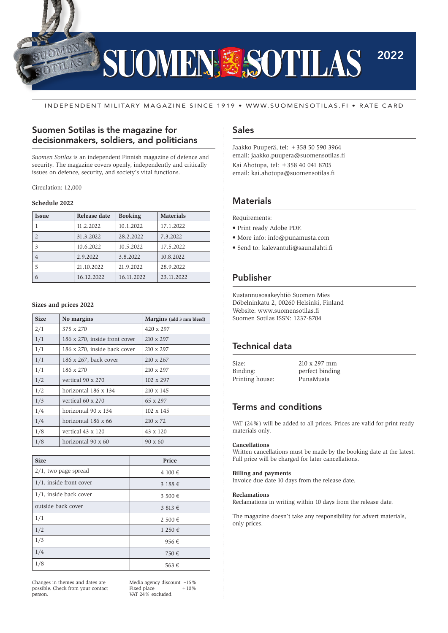

INDEPENDENT MILITARY MAGAZINE SINCE 1919 • WWW.SUOMENSOTILAS.FI • RATE CARD

## Suomen Sotilas is the magazine for decisionmakers, soldiers, and politicians

*Suomen Sotilas* is an independent Finnish magazine of defence and security. The magazine covers openly, independently and critically issues on defence, security, and society's vital functions.

Circulation: 12,000

#### **Schedule 2022**

| <b>Issue</b> | Release date | <b>Booking</b> | <b>Materials</b> |
|--------------|--------------|----------------|------------------|
|              | 11.2.2022    | 10.1.2022      | 17.1.2022        |
|              | 31.3.2022    | 28.2.2022      | 7.3.2022         |
| 3            | 10.6.2022    | 10.5.2022      | 17.5.2022        |
| 4            | 2.9.2022     | 3.8.2022       | 10.8.2022        |
|              | 21.10.2022   | 21.9.2022      | 28.9.2022        |
| 6            | 16.12.2022   | 16.11.2022     | 23.11.2022       |

#### **Sizes and prices 2022**

| <b>Size</b> | No margins                    | Margins (add 3 mm bleed) |
|-------------|-------------------------------|--------------------------|
| 2/1         | 375 x 270                     | 420 x 297                |
| 1/1         | 186 x 270, inside front cover | 210 x 297                |
| 1/1         | 186 x 270, inside back cover  | 210 x 297                |
| 1/1         | 186 x 267, back cover         | 210 x 267                |
| 1/1         | 186 x 270                     | 210 x 297                |
| 1/2         | vertical 90 x 270             | 102 x 297                |
| 1/2         | horizontal 186 x 134          | 210 x 145                |
| 1/3         | vertical 60 x 270             | 65 x 297                 |
| 1/4         | horizontal 90 x 134           | $102 \times 145$         |
| 1/4         | horizontal 186 x 66           | $210 \times 72$          |
| 1/8         | vertical 43 x 120             | 43 x 120                 |
| 1/8         | horizontal 90 x 60            | 90 x 60                  |

| <b>Size</b>             | Price      |
|-------------------------|------------|
| $2/1$ , two page spread | 4 100 €    |
| 1/1, inside front cover | 3188€      |
| 1/1, inside back cover  | 3 500 €    |
| outside back cover      | 3813€      |
| 1/1                     | 2 500 €    |
| 1/2                     | $1250 \in$ |
| 1/3                     | 956€       |
| 1/4                     | 750€       |
| 1/8                     | 563€       |

Changes in themes and dates are possible. Check from your contact person.

Media agency discount  $-15%$ <br>Fixed place  $+10%$ Fixed place VAT 24% excluded.

### Sales

Jaakko Puuperä, tel: +358 50 590 3964 email: jaakko.puupera@suomensotilas.fi Kai Ahotupa, tel: +358 40 041 8705 email: kai.ahotupa@suomensotilas.fi

## **Materials**

Requirements:

- Print ready Adobe PDF.
- More info: info@punamusta.com
- Send to: kalevantuli@saunalahti.fi

## Publisher

Kustannusosakeyhtiö Suomen Mies Döbelninkatu 2, 00260 Helsinki, Finland Website: www.suomensotilas.fi Suomen Sotilas ISSN: 1237-8704

## Technical data

| Size:           | $210 \times 297$ mm |
|-----------------|---------------------|
| Binding:        | perfect binding     |
| Printing house: | PunaMusta           |

## Terms and conditions

VAT (24%) will be added to all prices. Prices are valid for print ready materials only.

#### **Cancellations**

Written cancellations must be made by the booking date at the latest. Full price will be charged for later cancellations.

#### **Billing and payments**

Invoice due date 10 days from the release date.

#### **Reclamations**

Reclamations in writing within 10 days from the release date.

The magazine doesn't take any responsibility for advert materials, only prices.